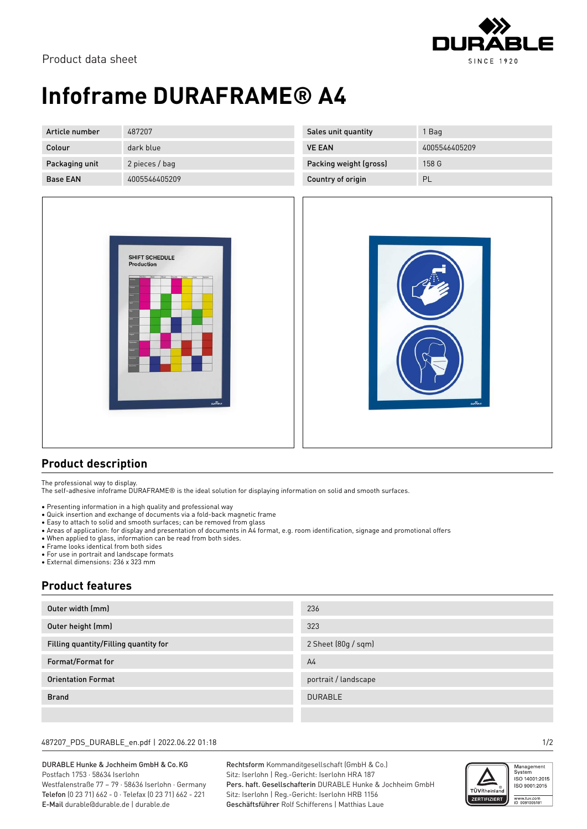

# **Infoframe DURAFRAME® A4**

| Article number  | 487207         | Sales unit quantity    | Bag           |
|-----------------|----------------|------------------------|---------------|
| Colour          | dark blue      | <b>VE EAN</b>          | 4005546405209 |
| Packaging unit  | 2 pieces / bag | Packing weight (gross) | 158 G         |
| <b>Base EAN</b> | 4005546405209  | Country of origin      | PL            |





### **Product description**

The professional way to display.

The self-adhesive infoframe DURAFRAME® is the ideal solution for displaying information on solid and smooth surfaces.

- Presenting information in a high quality and professional way
- Quick insertion and exchange of documents via a fold-back magnetic frame
- Easy to attach to solid and smooth surfaces; can be removed from glass
- Areas of application: for display and presentation of documents in A4 format, e.g. room identification, signage and promotional offers
- When applied to glass, information can be read from both sides.
- Frame looks identical from both sides
- For use in portrait and landscape formats
- External dimensions: 236 x 323 mm

### **Product features**

| Outer width (mm)                      | 236                  |
|---------------------------------------|----------------------|
| Outer height (mm)                     | 323                  |
| Filling quantity/Filling quantity for | 2 Sheet (80g / sqm)  |
| Format/Format for                     | A <sub>4</sub>       |
| <b>Orientation Format</b>             | portrait / landscape |
| <b>Brand</b>                          | <b>DURABLE</b>       |
|                                       |                      |

#### 487207\_PDS\_DURABLE\_en.pdf | 2022.06.22 01:18 1/2

DURABLE Hunke & Jochheim GmbH & Co.KG Postfach 1753 · 58634 Iserlohn Westfalenstraße 77 – 79 · 58636 Iserlohn · Germany Telefon (0 23 71) 662 - 0 · Telefax (0 23 71) 662 - 221 E-Mail durable@durable.de | durable.de

Rechtsform Kommanditgesellschaft (GmbH & Co.) Sitz: Iserlohn | Reg.-Gericht: Iserlohn HRA 187 Pers. haft. Gesellschafterin DURABLE Hunke & Jochheim GmbH Sitz: Iserlohn | Reg.-Gericht: Iserlohn HRB 1156 Geschäftsführer Rolf Schifferens | Matthias Laue